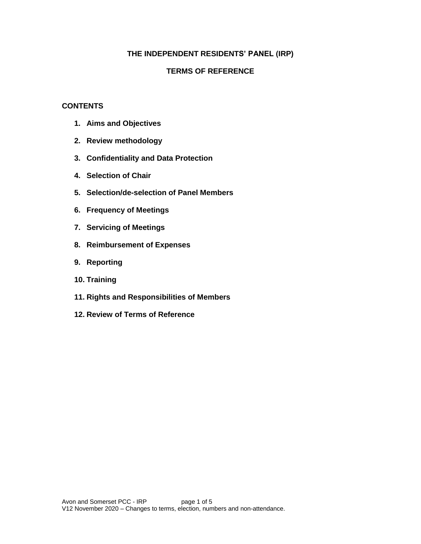### **THE INDEPENDENT RESIDENTS' PANEL (IRP)**

#### **TERMS OF REFERENCE**

#### **CONTENTS**

- **1. Aims and Objectives**
- **2. Review methodology**
- **3. Confidentiality and Data Protection**
- **4. Selection of Chair**
- **5. Selection/de-selection of Panel Members**
- **6. Frequency of Meetings**
- **7. Servicing of Meetings**
- **8. Reimbursement of Expenses**
- **9. Reporting**
- **10. Training**
- **11. Rights and Responsibilities of Members**
- **12. Review of Terms of Reference**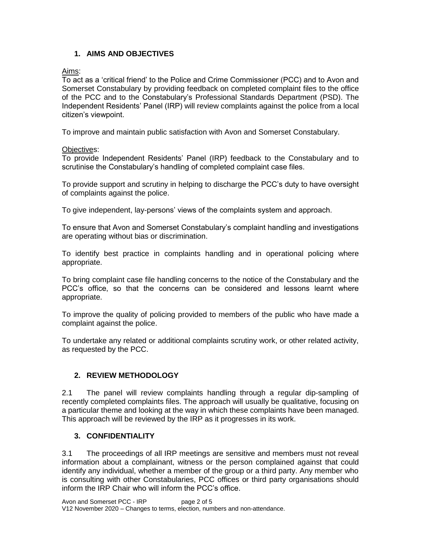## **1. AIMS AND OBJECTIVES**

Aims:

To act as a 'critical friend' to the Police and Crime Commissioner (PCC) and to Avon and Somerset Constabulary by providing feedback on completed complaint files to the office of the PCC and to the Constabulary's Professional Standards Department (PSD). The Independent Residents' Panel (IRP) will review complaints against the police from a local citizen's viewpoint.

To improve and maintain public satisfaction with Avon and Somerset Constabulary.

### Objectives:

To provide Independent Residents' Panel (IRP) feedback to the Constabulary and to scrutinise the Constabulary's handling of completed complaint case files.

To provide support and scrutiny in helping to discharge the PCC's duty to have oversight of complaints against the police.

To give independent, lay-persons' views of the complaints system and approach.

To ensure that Avon and Somerset Constabulary's complaint handling and investigations are operating without bias or discrimination.

To identify best practice in complaints handling and in operational policing where appropriate.

To bring complaint case file handling concerns to the notice of the Constabulary and the PCC's office, so that the concerns can be considered and lessons learnt where appropriate.

To improve the quality of policing provided to members of the public who have made a complaint against the police.

To undertake any related or additional complaints scrutiny work, or other related activity, as requested by the PCC.

# **2. REVIEW METHODOLOGY**

2.1 The panel will review complaints handling through a regular dip-sampling of recently completed complaints files. The approach will usually be qualitative, focusing on a particular theme and looking at the way in which these complaints have been managed. This approach will be reviewed by the IRP as it progresses in its work.

## **3. CONFIDENTIALITY**

3.1 The proceedings of all IRP meetings are sensitive and members must not reveal information about a complainant, witness or the person complained against that could identify any individual, whether a member of the group or a third party. Any member who is consulting with other Constabularies, PCC offices or third party organisations should inform the IRP Chair who will inform the PCC's office.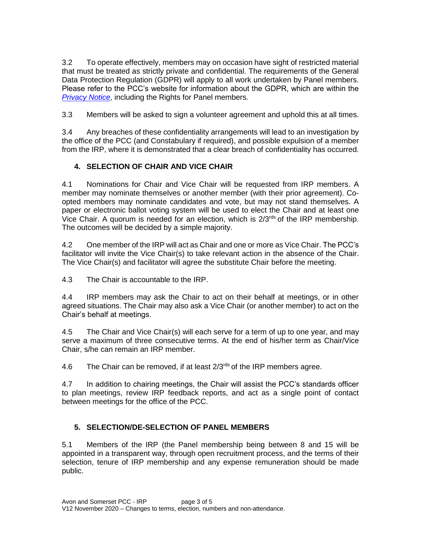3.2 To operate effectively, members may on occasion have sight of restricted material that must be treated as strictly private and confidential. The requirements of the General Data Protection Regulation (GDPR) will apply to all work undertaken by Panel members. Please refer to the PCC's website for information about the GDPR, which are within the *[Privacy Notice](https://www.avonandsomerset-pcc.gov.uk/help/privacy/privacy-policy/)*, including the Rights for Panel members.

3.3 Members will be asked to sign a volunteer agreement and uphold this at all times.

3.4 Any breaches of these confidentiality arrangements will lead to an investigation by the office of the PCC (and Constabulary if required), and possible expulsion of a member from the IRP, where it is demonstrated that a clear breach of confidentiality has occurred.

# **4. SELECTION OF CHAIR AND VICE CHAIR**

4.1 Nominations for Chair and Vice Chair will be requested from IRP members. A member may nominate themselves or another member (with their prior agreement). Coopted members may nominate candidates and vote, but may not stand themselves. A paper or electronic ballot voting system will be used to elect the Chair and at least one Vice Chair. A quorum is needed for an election, which is 2/3rds of the IRP membership. The outcomes will be decided by a simple majority.

4.2 One member of the IRP will act as Chair and one or more as Vice Chair. The PCC's facilitator will invite the Vice Chair(s) to take relevant action in the absence of the Chair. The Vice Chair(s) and facilitator will agree the substitute Chair before the meeting.

4.3 The Chair is accountable to the IRP.

4.4 IRP members may ask the Chair to act on their behalf at meetings, or in other agreed situations. The Chair may also ask a Vice Chair (or another member) to act on the Chair's behalf at meetings.

4.5 The Chair and Vice Chair(s) will each serve for a term of up to one year, and may serve a maximum of three consecutive terms. At the end of his/her term as Chair/Vice Chair, s/he can remain an IRP member.

4.6 The Chair can be removed, if at least  $2/3^{rds}$  of the IRP members agree.

4.7 In addition to chairing meetings, the Chair will assist the PCC's standards officer to plan meetings, review IRP feedback reports, and act as a single point of contact between meetings for the office of the PCC.

# **5. SELECTION/DE-SELECTION OF PANEL MEMBERS**

5.1 Members of the IRP (the Panel membership being between 8 and 15 will be appointed in a transparent way, through open recruitment process, and the terms of their selection, tenure of IRP membership and any expense remuneration should be made public.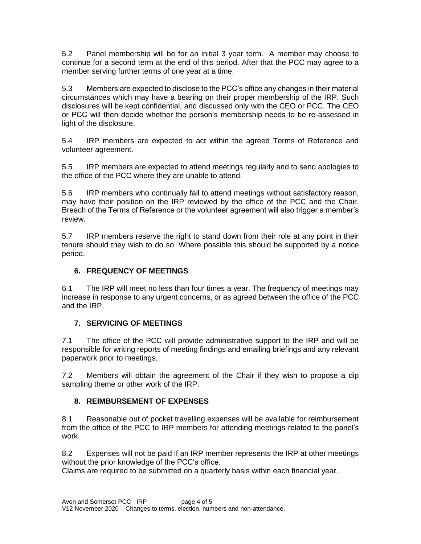5.2 Panel membership will be for an initial 3 year term. A member may choose to continue for a second term at the end of this period. After that the PCC may agree to a member serving further terms of one year at a time.

5.3 Members are expected to disclose to the PCC's office any changes in their material circumstances which may have a bearing on their proper membership of the IRP. Such disclosures will be kept confidential, and discussed only with the CEO or PCC. The CEO or PCC will then decide whether the person's membership needs to be re-assessed in light of the disclosure.

5.4 IRP members are expected to act within the agreed Terms of Reference and volunteer agreement.

5.5 IRP members are expected to attend meetings regularly and to send apologies to the office of the PCC where they are unable to attend.

5.6 IRP members who continually fail to attend meetings without satisfactory reason, may have their position on the IRP reviewed by the office of the PCC and the Chair. Breach of the Terms of Reference or the volunteer agreement will also trigger a member's review.

5.7 IRP members reserve the right to stand down from their role at any point in their tenure should they wish to do so. Where possible this should be supported by a notice period.

## **6. FREQUENCY OF MEETINGS**

6.1 The IRP will meet no less than four times a year. The frequency of meetings may increase in response to any urgent concerns, or as agreed between the office of the PCC and the IRP.

## **7. SERVICING OF MEETINGS**

7.1 The office of the PCC will provide administrative support to the IRP and will be responsible for writing reports of meeting findings and emailing briefings and any relevant paperwork prior to meetings.

7.2 Members will obtain the agreement of the Chair if they wish to propose a dip sampling theme or other work of the IRP.

## **8. REIMBURSEMENT OF EXPENSES**

8.1 Reasonable out of pocket travelling expenses will be available for reimbursement from the office of the PCC to IRP members for attending meetings related to the panel's work.

8.2 Expenses will not be paid if an IRP member represents the IRP at other meetings without the prior knowledge of the PCC's office.

Claims are required to be submitted on a quarterly basis within each financial year.